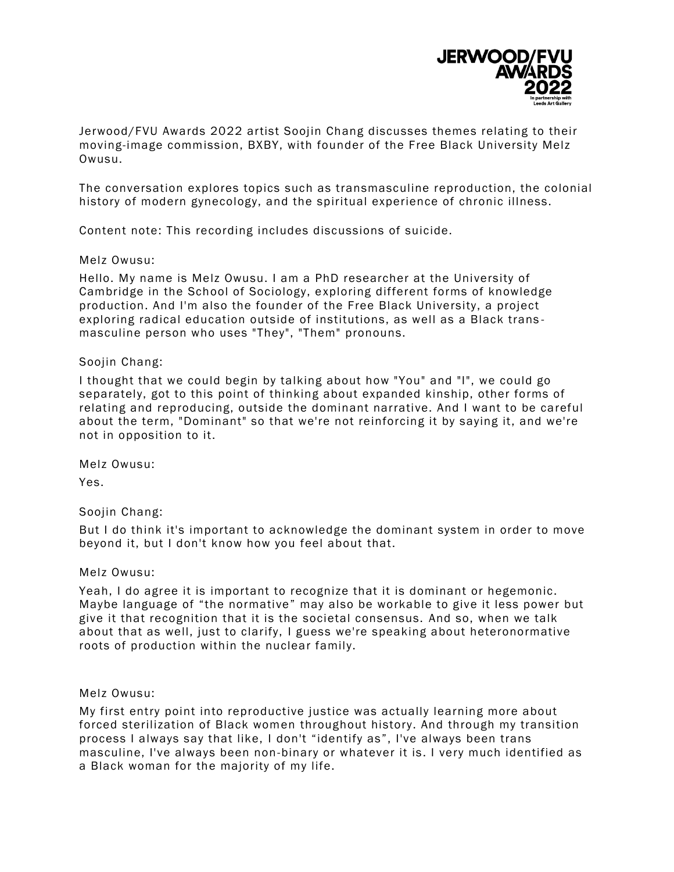

Jerwood/FVU Awards 2022 artist Soojin Chang discusses themes relating to their moving-image commission, BXBY, with founder of the Free Black University Melz Owusu.

The conversation explores topics such as transmasculine reproduction, the colonial history of modern gynecology, and the spiritual experience of chronic illness.

Content note: This recording includes discussions of suicide.

### Melz Owusu:

Hello. My name is Melz Owusu. I am a PhD researcher at the University of Cambridge in the School of Sociology, exploring different forms of knowledge production. And I'm also the founder of the Free Black University, a project exploring radical education outside of institutions, as well as a Black trans masculine person who uses "They", "Them" pronouns.

#### Soojin Chang:

I thought that we could begin by talking about how "You" and "I", we could go separately, got to this point of thinking about expanded kinship, other forms of relating and reproducing, outside the dominant narrative. And I want to be careful about the term, "Dominant" so that we're not reinforcing it by saying it, and we're not in opposition to it.

Melz Owusu:

Yes.

Soojin Chang:

But I do think it's important to acknowledge the dominant system in order to move beyond it, but I don't know how you feel about that.

#### Melz Owusu:

Yeah, I do agree it is important to recognize that it is dominant or hegemonic. Maybe language of "the normative" may also be workable to give it less power but give it that recognition that it is the societal consensus. And so, when we talk about that as well, just to clarify, I guess we're speaking about heteronormative roots of production within the nuclear family.

Melz Owusu:

My first entry point into reproductive justice was actually learning more about forced sterilization of Black women throughout history. And through my transition process I always say that like, I don't "identify as", I've always been trans masculine, I've always been non-binary or whatever it is. I very much identified as a Black woman for the majority of my life.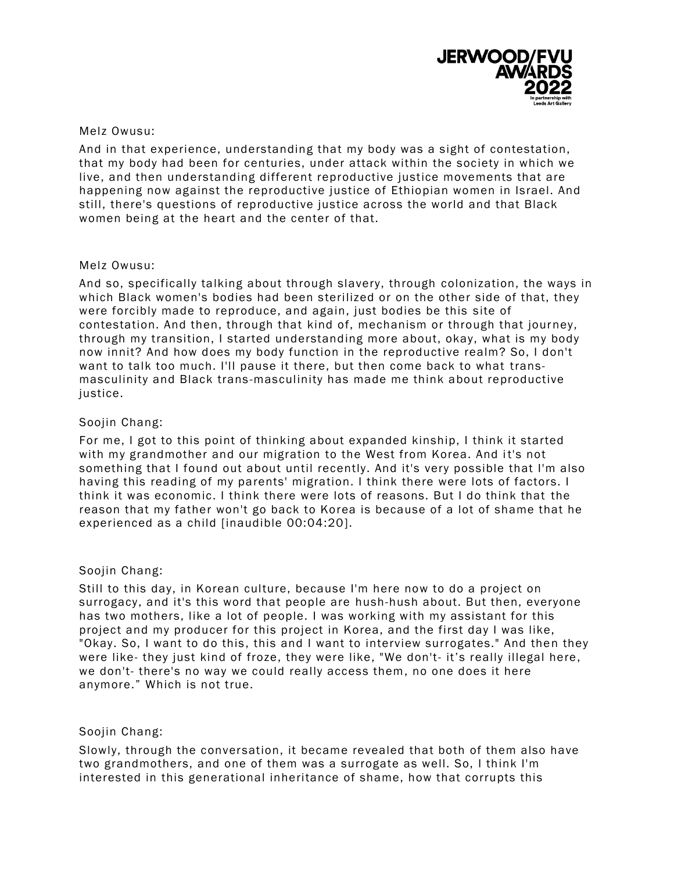

Melz Owusu:

And in that experience, understanding that my body was a sight of contestation, that my body had been for centuries, under attack within the society in which we live, and then understanding different reproductive justice movements that are happening now against the reproductive justice of Ethiopian women in Israel. And still, there's questions of reproductive justice across the world and that Black women being at the heart and the center of that.

### Melz Owusu:

And so, specifically talking about through slavery, through colonization, the ways in which Black women's bodies had been sterilized or on the other side of that, they were forcibly made to reproduce, and again, just bodies be this site of contestation. And then, through that kind of, mechanism or through that journey, through my transition, I started understanding more about, okay, what is my body now innit? And how does my body function in the reproductive realm? So, I don't want to talk too much. I'll pause it there, but then come back to what transmasculinity and Black trans -masculinity has made me think about reproductive justice.

## Soojin Chang:

For me, I got to this point of thinking about expanded kinship, I think it started with my grandmother and our migration to the West from Korea. And it's not something that I found out about until recently. And it's very possible that I'm also having this reading of my parents' migration. I think there were lots of factors. I think it was economic. I think there were lots of reasons. But I do think that the reason that my father won't go back to Korea is because of a lot of shame that he experienced as a child [inaudible 00:04:20].

## Soojin Chang:

Still to this day, in Korean culture, because I'm here now to do a project on surrogacy, and it's this word that people are hush-hush about. But then, everyone has two mothers, like a lot of people. I was working with my assistant for this project and my producer for this project in Korea, and the first day I was like, "Okay. So, I want to do this, this and I want to interview surrogates." And then they were like- they just kind of froze, they were like, "We don't- it's really illegal here, we don't- there's no way we could really access them, no one does it here anymore." Which is not true.

## Soojin Chang:

Slowly, through the conversation, it became revealed that both of them also have two grandmothers, and one of them was a surrogate as well. So, I think I'm interested in this generational inheritance of shame, how that corrupts this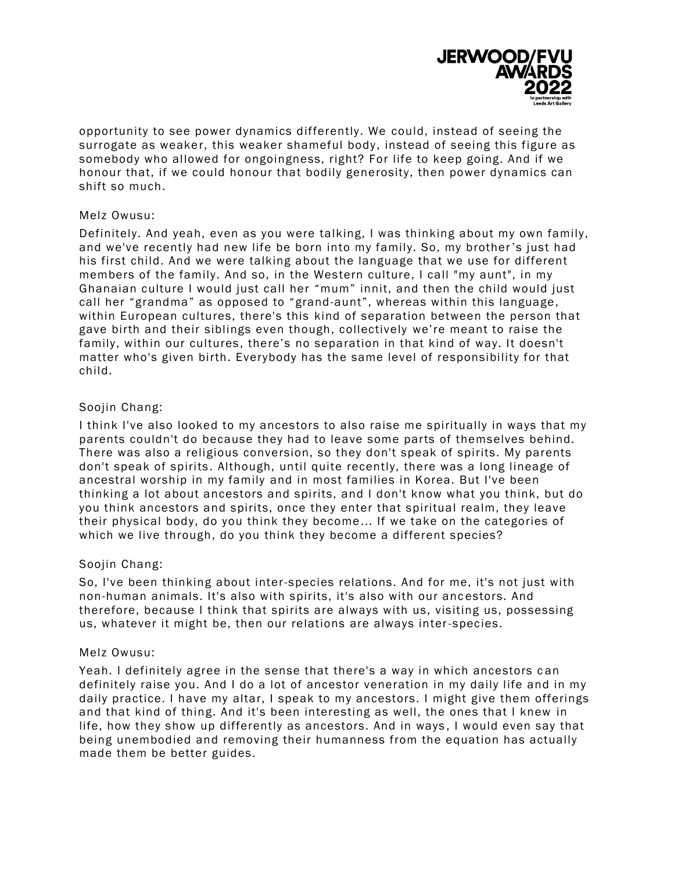

opportunity to see power dynamics differently. We could, instead of seeing the surrogate as weaker, this weaker shameful body , instead of seeing this figure as somebody who allowed for ongoingness, right? For life to keep going. And if we honour that, if we could honour that bodily generosity, then power dynamics can shift so much.

## Melz Owusu:

Definitely. And yeah, even as you were talking, I was thinking about my own family, and we've recently had new life be born into my family. So, my brother 's just had his first child. And we were talking about the language that we use for different members of the family. And so, in the Western culture, I call "my aunt", in my Ghanaian culture I would just call her "mum" innit, and then the child would just call her "grandma" as opposed to "grand-aunt", whereas within this language, within European cultures, there's this kind of separation between the person that gave birth and their siblings even though, collectively we're meant to raise the family, within our cultures, there's no separation in that kind of way. It doesn't matter who's given birth. Everybody has the same level of responsibility for that child.

## Soojin Chang:

I think I've also looked to my ancestors to also raise me spiritually in ways that my parents couldn't do because they had to leave some parts of themselves behind. There was also a religious conversion, so they don't speak of spirits. My parents don't speak of spirits. Although, until quite recently, there was a long lineage of ancestral worship in my family and in most families in Korea. But I've been thinking a lot about ancestors and spirits, and I don't know what you think, but do you think ancestors and spirits, once they enter that spiritual realm, they leave their physical body, do you think they become ... If we take on the categories of which we live through, do you think they become a different species?

## Soojin Chang:

So, I've been thinking about inter-species relations. And for me, it's not just with non-human animals. It's also with spirits, it's also with our anc estors. And therefore, because I think that spirits are always with us, visiting us, possessing us, whatever it might be, then our relations are always inter-species.

#### Melz Owusu:

Yeah. I definitely agree in the sense that there's a way in which ancestors can definitely raise you. And I do a lot of ancestor veneration in my daily life and in my daily practice. I have my altar, I speak to my ancestors. I might give them offerings and that kind of thing. And it's been interesting as well, the ones that I knew in life, how they show up differently as ancestors. And in ways , I would even say that being unembodied and removing their humanness from the equation has actually made them be better guides.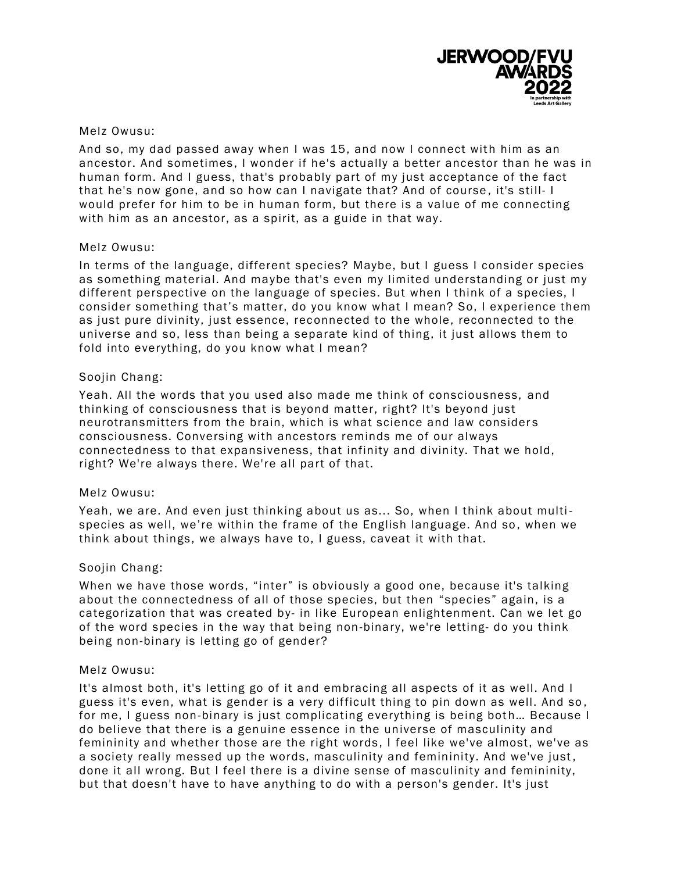

#### Melz Owusu:

And so, my dad passed away when I was 15, and now I connect with him as an ancestor. And sometimes, I wonder if he's actually a better ancestor than he was in human form. And I guess, that's probably part of my just acceptance of the fact that he's now gone, and so how can I navigate that? And of course , it's still- I would prefer for him to be in human form, but there is a value of me connecting with him as an ancestor, as a spirit, as a guide in that way.

### Melz Owusu:

In terms of the language, different species? Maybe, but I guess I consider species as something material. And maybe that's even my limited understanding or just my different perspective on the language of species. But when I think of a species, I consider something that's matter, do you know what I mean? So, I experience them as just pure divinity, just essence, rec onnected to the whole, reconnected to the universe and so, less than being a separate kind of thing, it just allows them to fold into everything, do you know what I mean?

### Soojin Chang:

Yeah. All the words that you used also made me think of consciousness, and thinking of consciousness that is beyond matter, right? It's beyond just neurotransmitters from the brain, which is what science and law considers consciousness. Conversing with ancestors reminds me of our always connectedness to that expansiveness, that infinity and divinity. That we hold, right? We're always there. We're all part of that.

## Melz Owusu:

Yeah, we are. And even just thinking about us as... So, when I think about multi species as well, we're within the frame of the English language. And so, when we think about things, we always have to, I guess, caveat it with that.

#### Soojin Chang:

When we have those words, "inter" is obviously a good one, because it's talking about the connectedness of all of those species, but then "species" again, is a categorization that was created by- in like European enlightenment. Can we let go of the word species in the way that being non-binary, we're letting- do you think being non-binary is letting go of gender?

#### Melz Owusu:

It's almost both, it's letting go of it and embracing all aspects of it as well. And I guess it's even, what is gender is a very difficult thing to pin down as well. And so, for me, I guess non-binary is just complicating everything is being both... Because I do believe that there is a genuine essence in the universe of masculinity and femininity and whether those are the right words , I feel like we've almost, we've as a society really messed up the words, masculinity and femininity. And we've just, done it all wrong. But I feel there is a divine sense of masculinity and femininity, but that doesn't have to have anything to do with a person's gender. It's just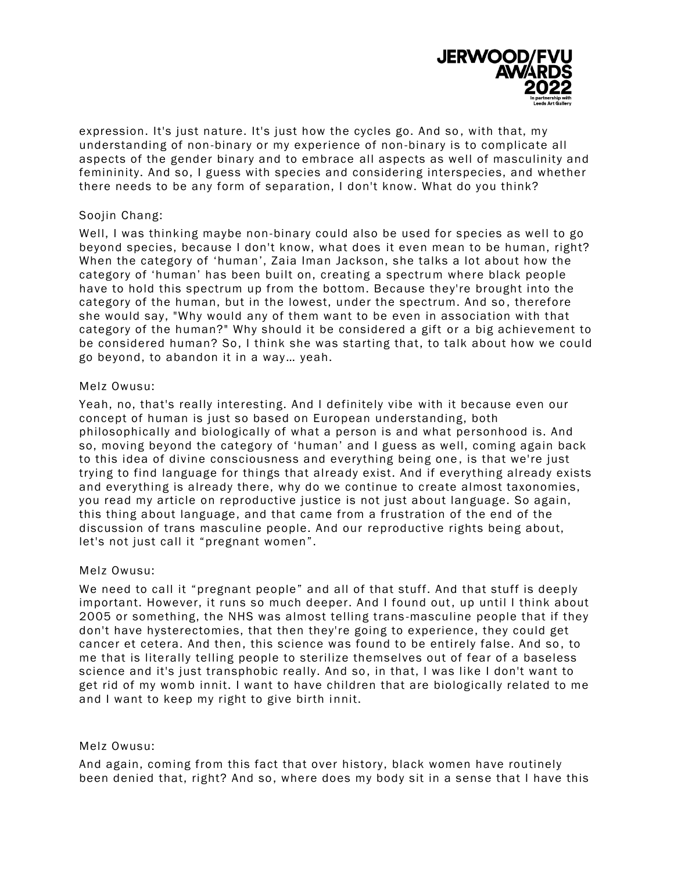

expression. It's just nature. It's just how the cycles go. And so, with that, my understanding of non-binary or my experience of non-binary is to complicate all aspects of the gender binary and to embrace all aspects as well of masculinity and femininity. And so, I guess with species and considering interspecies, and whether there needs to be any form of separation, I don't know. What do you think?

## Soojin Chang:

Well, I was thinking maybe non-binary could also be used for species as well to go beyond species, because I don't know, what does it even mean to be human, right? When the category of 'human', Zaia Iman Jackson, she talks a lot about how the category of 'human' has been built on, creating a spectrum where black people have to hold this spectrum up from the bottom. Because they're brought into the category of the human, but in the lowest, under the spectrum. And so, therefore she would say, "Why would any of them want to be even in association with that category of the human?" Why should it be considered a gift or a big achievement to be considered human? So, I think she was starting that, to talk about how we could go beyond, to abandon it in a way… yeah.

### Melz Owusu:

Yeah, no, that's really interesting. And I definitely vibe with it because even our concept of human is just so based on European understanding, both philosophically and biologically of what a person is and what personhood is. And so, moving beyond the category of 'human' and I guess as well, coming again back to this idea of divine consciousness and everything being one, is that we're just trying to find language for things that already exist. And if everything already exists and everything is already there, why do we continue to create almost taxonomies, you read my article on reproductive justice is not just about language. So again, this thing about language, and that came from a frustration of the end of the discussion of trans masculine people. And our reproductive rights being about, let's not just call it "pregnant women".

#### Melz Owusu:

We need to call it "pregnant people" and all of that stuff. And that stuff is deeply important. However, it runs so much deeper. And I found out, up until I think about 2005 or something, the NHS was almost telling trans -masculine people that if they don't have hysterectomies, that then they're going to experience, they could get cancer et cetera. And then, this science was found to be entirely false. And so , to me that is literally telling people to sterilize themselves out of fear of a baseless science and it's just transphobic really. And so, in that, I was like I don't want to get rid of my womb innit. I want to have children that are biologically related to me and I want to keep my right to give birth innit.

#### Melz Owusu:

And again, coming from this fact that over history, black women have routinely been denied that, right? And so, where does my body sit in a sense that I have this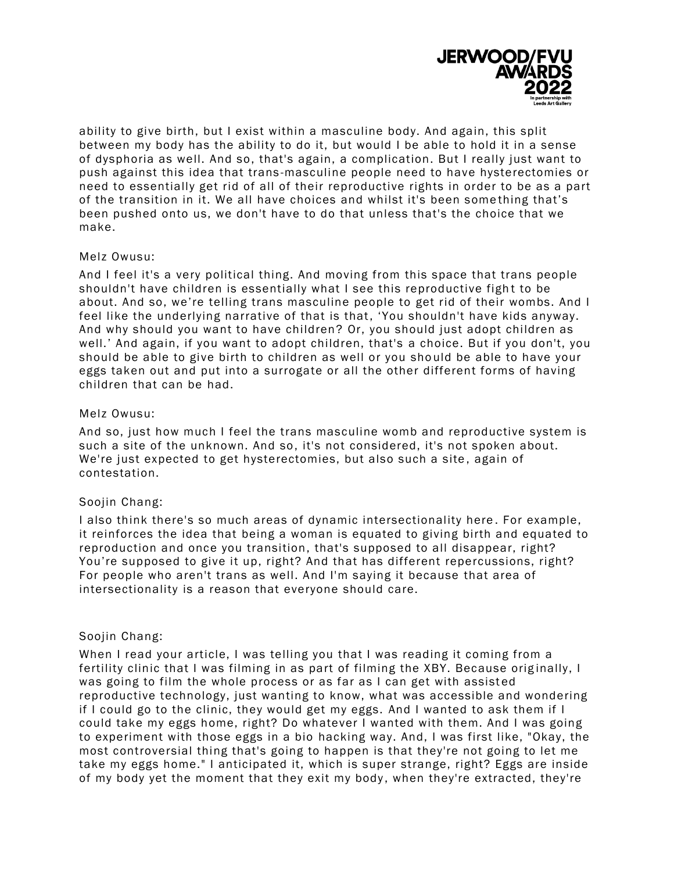

ability to give birth, but I exist within a masculine body. And again, this split between my body has the ability to do it, but would I be able to hold it in a sense of dysphoria as well. And so, that's again, a complication. But I really just want to push against this idea that trans -masculine people need to have hysterectomies or need to essentially get rid of all of their reproductive rights in order to be as a part of the transition in it. We all have choices and whilst it's been some thing that's been pushed onto us, we don't have to do that unless that's the choice that we make.

## Melz Owusu:

And I feel it's a very political thing. And moving from this space that trans people shouldn't have children is essentially what I see this reproductive fight to be about. And so, we're telling trans masculine people to get rid of their wombs. And I feel like the underlying narrative of that is that, 'You shouldn't have kids anyway. And why should you want to have children? Or, you should just adopt children as well.' And again, if you want to adopt children, that's a choice. But if you don't, you should be able to give birth to children as well or you sho uld be able to have your eggs taken out and put into a surrogate or all the other different forms of having children that can be had.

## Melz Owusu:

And so, just how much I feel the trans masculine womb and reproductive system is such a site of the unknown. And so, it's not considered, it's not spoken about. We're just expected to get hysterectomies, but also such a site , again of contestation.

## Soojin Chang:

I also think there's so much areas of dynamic intersectionality here. For example, it reinforces the idea that being a woman is equated to giving birth and equated to reproduction and once you transition, that's supposed to all disappear, right? You're supposed to give it up, right? And that has different repercussions, right? For people who aren't trans as well. And I'm saying it because that area of intersectionality is a reason that everyone should care.

## Soojin Chang:

When I read your article, I was telling you that I was reading it coming from a fertility clinic that I was filming in as part of filming the XBY. Because originally, I was going to film the whole process or as far as I can get with assist ed reproductive technology, just wanting to know, what was accessible and wondering if I could go to the clinic, they would get my eggs. And I wanted to ask them if I could take my eggs home, right? Do whatever I wanted with them. And I was going to experiment with those eggs in a bio hacking way. And, I was first like, "Okay, the most controversial thing that's going to happen is that they're not going to let me take my eggs home." I anticipated it, which is super strange, right? Eggs are inside of my body yet the moment that they exit my body , when they're extracted, they're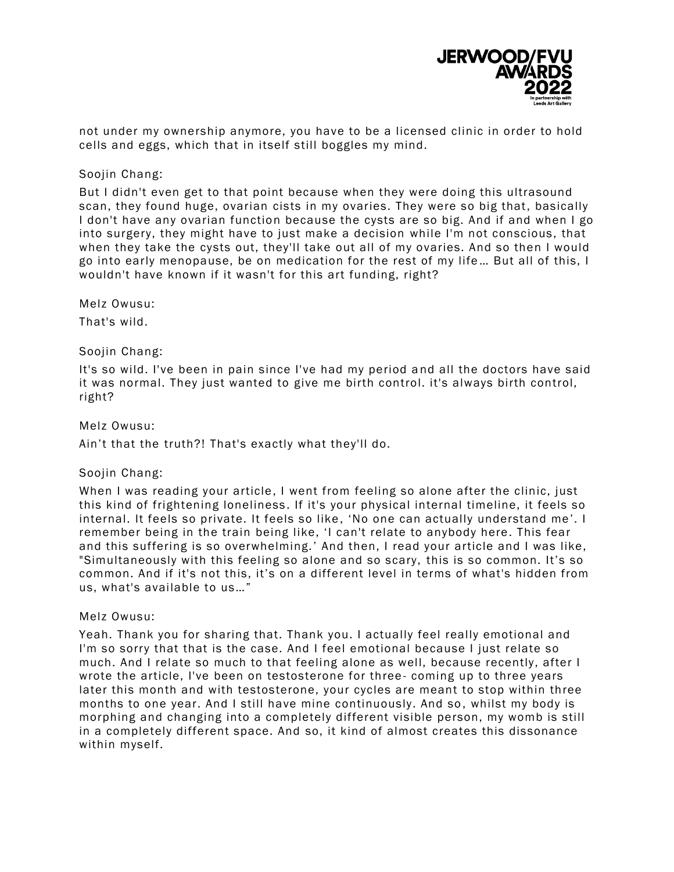

not under my ownership anymore, you have to be a licensed clinic in order to hold cells and eggs, which that in itself still boggles my mind.

### Soojin Chang:

But I didn't even get to that point because when they were doing this ultrasound scan, they found huge, ovarian cists in my ovaries. They were so big that, basically I don't have any ovarian function because the cysts are so big. And if and when I go into surgery, they might have to just make a decision while I'm not conscious, that when they take the cysts out, they'll take out all of my ovaries. And so then I would go into early menopause, be on medication for the rest of my life … But all of this, I wouldn't have known if it wasn't for this art funding, right?

Melz Owusu:

That's wild.

## Soojin Chang:

It's so wild. I've been in pain since I've had my period and all the doctors have said it was normal. They just wanted to give me birth control. it's always birth control, right?

### Melz Owusu:

Ain't that the truth?! That's exactly what they'll do.

## Soojin Chang:

When I was reading your article, I went from feeling so alone after the clinic, just this kind of frightening loneliness . If it's your physical internal timeline, it feels so internal. It feels so private. It feels so like, 'No one can actually understand me'. I remember being in the train being like, 'I can't relate to anybody here. This fear and this suffering is so overwhelming. ' And then, I read your article and I was like, "Simultaneously with this feeling so alone and so scary, this is so common. It's so common. And if it's not this, it's on a different level in terms of what's hidden from us, what's available to us…"

### Melz Owusu:

Yeah. Thank you for sharing that. Thank you. I actually feel really emotional and I'm so sorry that that is the case. And I feel emotional because I just relate so much. And I relate so much to that feeling alone as well, because recently, after I wrote the article, I've been on testosterone for three - coming up to three years later this month and with testosterone, your cycles are meant to stop within three months to one year. And I still have mine continuously. And so, whilst my body is morphing and changing into a completely different visible person, my womb is still in a completely different space. And so, it kind of almost creates this dissonance within myself.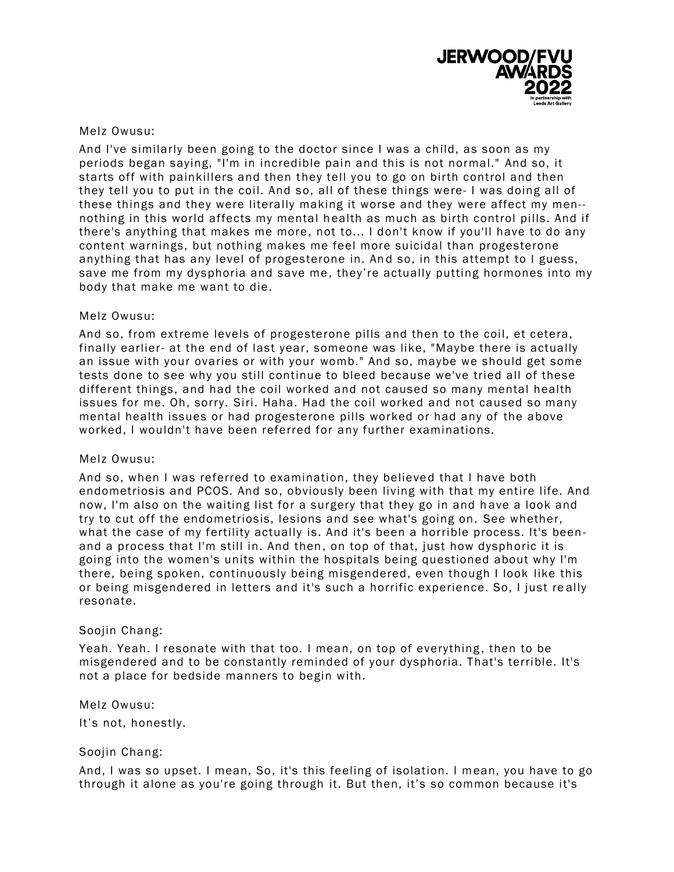

### Melz Owusu:

And I've similarly been going to the doctor since I was a child, as soon as my periods began saying, "I'm in incredible pain and this is not normal." And so, it starts off with painkillers and then they tell you to go on birth control and then they tell you to put in the coil. And so, all of these things were- I was doing all of these things and they were literally making it worse and they were affect my men- nothing in this world affects my mental health as much as birth control pills. And if there's anything that makes me more, not to... I don't know if you'll have to do any content warnings, but nothing makes me feel more suicidal than progesterone anything that has any level of progesterone in. And so, in this attempt to I guess, save me from my dysphoria and save me, they're actually putting hormones into my body that make me want to die.

### Melz Owusu:

And so, from extreme levels of progesterone pills and then to the coil, et cetera, finally earlier- at the end of last year, someone was like, "Maybe there is actually an issue with your ovaries or with your womb." And so, maybe we should get some tests done to see why you still continue to bleed because we've tried all of these different things, and had the coil worked and not caused so many mental health issues for me. Oh, sorry. Siri. Haha. Had the coil worked and not caused so many mental health issues or had progesterone pills worked or had any of the above worked, I wouldn't have been referred for any further examinations.

#### Melz Owusu:

And so, when I was referred to examination, they believed that I have both endometriosis and PCOS. And so, obviously been living with that my entire life. And now, I'm also on the waiting list for a surgery that they go in and have a look and try to cut off the endometriosis, lesions and see what's going on. See whether, what the case of my fertility actually is. And it's been a horrible process. It's been and a process that I'm still in. And then, on top of that, just how dysphoric it is going into the women's units within the hospitals being questioned about why I'm there, being spoken, continuously being misgendered, even though I look like this or being misgendered in letters and it's such a horrific experience. So, I just re ally resonate.

## Soojin Chang:

Yeah. Yeah. I resonate with that too. I mean, on top of everything, then to be misgendered and to be constantly reminded of your dysphoria. That's terrible. It's not a place for bedside manners to begin with.

Melz Owusu:

It's not, honestly.

## Soojin Chang:

And, I was so upset. I mean, So, it's this feeling of isolation. I mean, you have to go through it alone as you're going through it. But then, it's so common because it's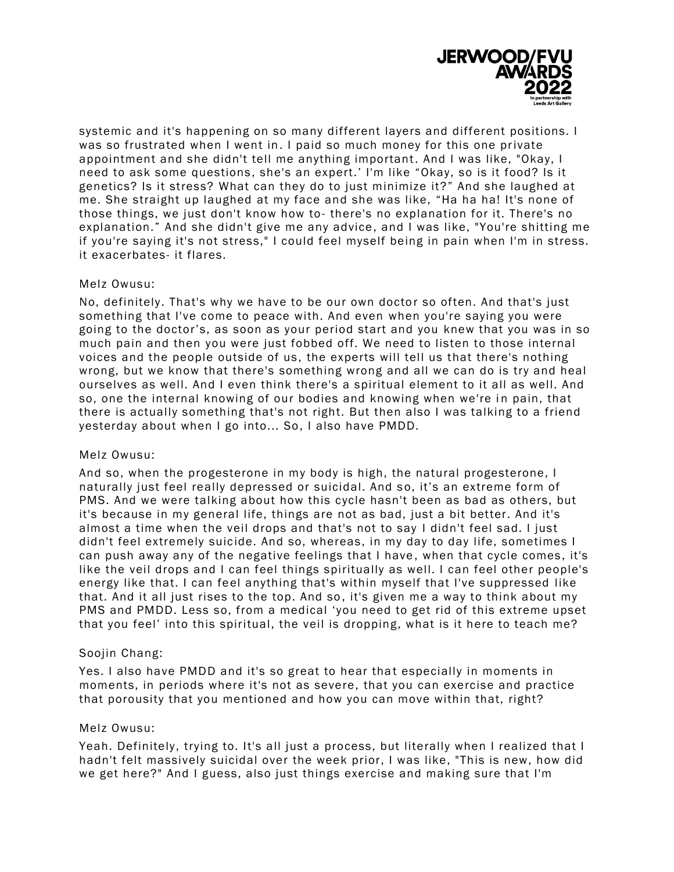

systemic and it's happening on so many different layers and different positions. I was so frustrated when I went in . I paid so much money for this one private appointment and she didn't tell me anything important. And I was like, "Okay, I need to ask some questions, she's an expert.' I'm like "Okay, so is it food? Is it genetics? Is it stress? What can they do to just minimize it?" And she laughed at me. She straight up laughed at my face and she was like, "Ha ha ha! It's none of those things, we just don't know how to - there's no explanation for it. There's no explanation." And she didn't give me any advice, and I was like, "You're shitting me if you're saying it's not stress," I could feel myself being in pain when I'm in stress. it exacerbates- it flares.

## Melz Owusu:

No, definitely. That's why we have to be our own doctor so often. And that's just something that I've come to peace with. And even when you're saying you were going to the doctor's, as soon as your period start and you knew that you was in so much pain and then you were just fobbed off. We need to listen to those internal voices and the people outside of us , the experts will tell us that there's nothing wrong, but we know that there's something wrong and all we can do is try and heal ourselves as well. And I even think there's a spiritual element to it all as well. And so, one the internal knowing of our bodies and knowing when we're in pain, that there is actually something that's not right. But then also I was talking to a friend yesterday about when I go into... So, I also have PMDD.

## Melz Owusu:

And so, when the progesterone in my body is high, the natural progesterone, I naturally just feel really depressed or suicidal. And so, it's an extreme form of PMS. And we were talking about how this cycle hasn't been as bad as others, but it's because in my general life, things are not as bad, just a bit better. And it's almost a time when the veil drops and that's not to say I didn't feel sad. I just didn't feel extremely suicide. And so, whereas, in my day to day life, sometimes I can push away any of the negative feelings that I have, when that cycle comes, it's like the veil drops and I can feel things spiritually as well. I can feel other people's energy like that. I can feel anything that's within myself that I've suppressed like that. And it all just rises to the top. And so, it's given me a way to think about my PMS and PMDD. Less so, from a medical 'you need to get rid of this extreme upset that you feel' into this spiritual, the veil is dropping, what is it here to teach me?

## Soojin Chang:

Yes. I also have PMDD and it's so great to hear that especially in moments in moments, in periods where it's not as severe, that you can exercise and practice that porousity that you mentioned and how you can move within that, right?

### Melz Owusu:

Yeah. Definitely, trying to. It's all just a process, but literally when I realized that I hadn't felt massively suicidal over the week prior, I was like, "This is new, how did we get here?" And I guess, also just things exercise and making sure that I'm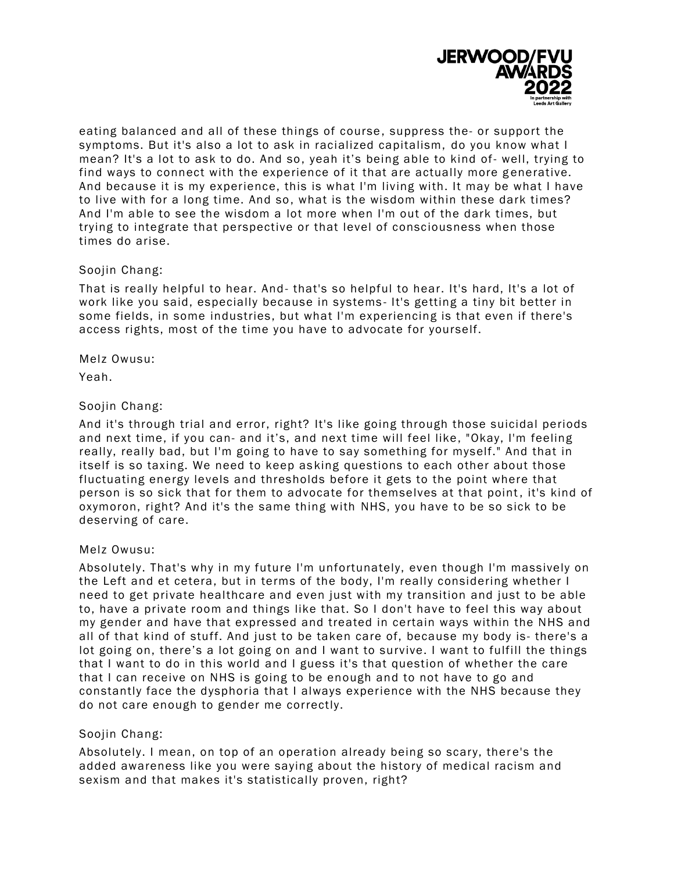

eating balanced and all of these things of course, suppress the- or support the symptoms. But it's also a lot to ask in racialized capitalism, do you know what I mean? It's a lot to ask to do. And so, yeah it's being able to kind of- well, trying to find ways to connect with the experience of it that are actually more generative. And because it is my experience, this is what I'm living with. It may be what I have to live with for a long time. And so, what is the wisdom within these dark times? And I'm able to see the wisdom a lot more when I'm out of the dark times, but trying to integrate that perspective or that level of consciousness when those times do arise.

## Soojin Chang:

That is really helpful to hear. And- that's so helpful to hear. It's hard, It's a lot of work like you said, especially because in systems - It's getting a tiny bit better in some fields, in some industries, but what I'm experiencing is that even if there's access rights, most of the time you have to advocate for yourself.

### Melz Owusu:

Yeah.

## Soojin Chang:

And it's through trial and error, right? It's like going through those suicidal periods and next time, if you can- and it's, and next time will feel like, "Okay, I'm feeling really, really bad, but I'm going to have to say something for myself." And that in itself is so taxing. We need to keep as king questions to each other about those fluctuating energy levels and thresholds before it gets to the point where that person is so sick that for them to advocate for themselves at that point, it's kind of oxymoron, right? And it's the same thing with NHS, you have to be so sick to be deserving of care.

## Melz Owusu:

Absolutely. That's why in my future I'm unfortunately, even though I'm massively on the Left and et cetera, but in terms of the body, I'm really considering whether I need to get private healthcare and even just with my transition and just to be able to, have a private room and things like that. So I don't have to feel this way about my gender and have that expressed and treated in certain ways within the NHS and all of that kind of stuff. And just to be taken care of, because my body is- there's a lot going on, there's a lot going on and I want to survive. I want to fulfill the things that I want to do in this world and I guess it's that question of whether the care that I can receive on NHS is going to be enough and to not have to go and constantly face the dysphoria that I always experience with the NHS because they do not care enough to gender me correctly.

## Soojin Chang:

Absolutely. I mean, on top of an operation already being so scary, there's the added awareness like you were saying about the history of medical racism and sexism and that makes it's statistically proven, right?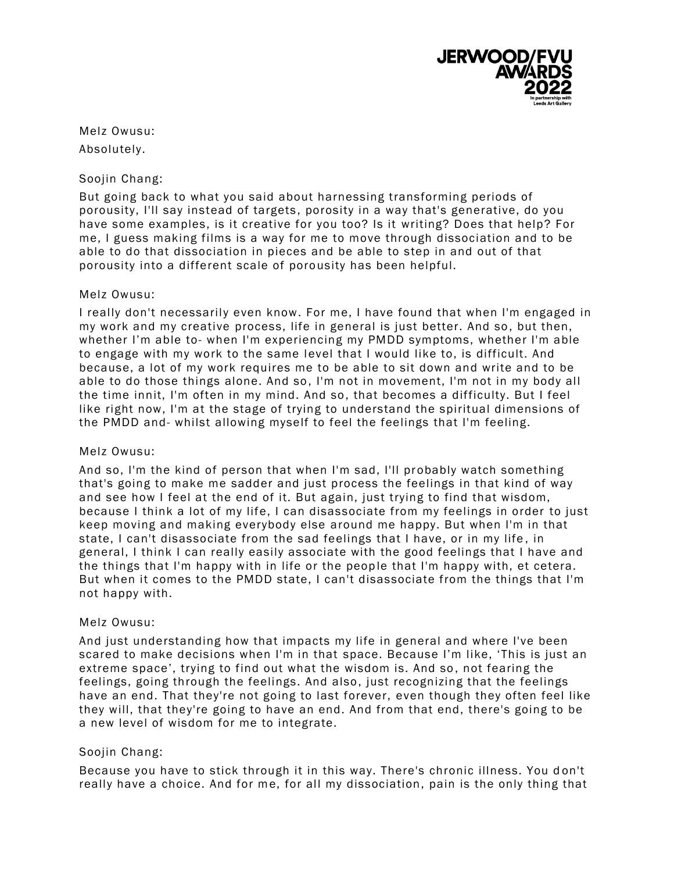

Melz Owusu: Absolutely.

## Soojin Chang:

But going back to what you said about harnessing transforming periods of porousity, I'll say instead of targets , porosity in a way that's generative, do you have some examples, is it creative for you too? Is it writing? Does that help? For me, I guess making films is a way for me to move through dissociation and to be able to do that dissociation in pieces and be able to step in and out of that porousity into a different scale of porousity has been helpful.

## Melz Owusu:

I really don't necessarily even know. For me, I have found that when I'm engaged in my work and my creative process, life in general is just better. And so, but then, whether I'm able to- when I'm experiencing my PMDD symptoms, whether I'm able to engage with my work to the same level that I would like to, is difficult. And because, a lot of my work requires me to be able to sit down and write and to be able to do those things alone. And so, I'm not in movement, I'm not in my body all the time innit, I'm often in my mind. And so, that becomes a difficulty. But I feel like right now, I'm at the stage of trying to understand the spiritual dimensions of the PMDD and- whilst allowing myself to feel the feelings that I'm feeling.

## Melz Owusu:

And so, I'm the kind of person that when I'm sad, I'll probably watch something that's going to make me sadder and just process the feelings in that kind of way and see how I feel at the end of it. But again, just trying to find that wisdom, because I think a lot of my life, I can disassociate from my feelings in order to just keep moving and making everybody else around me happy. But when I'm in that state, I can't disassociate from the sad feelings that I have, or in my life, in general, I think I can really easily associate with the good feelings that I have and the things that I'm happy with in life or the people that I'm happy with, et cetera. But when it comes to the PMDD state, I can't disassociate from the things that I'm not happy with.

## Melz Owusu:

And just understanding how that impacts my life in general and where I've been scared to make decisions when I'm in that space. Because I'm like, 'This is just an extreme space', trying to find out what the wisdom is. And so, not fearing the feelings, going through the feelings. And also, just recognizing that the feelings have an end. That they're not going to last forever, even though they often feel like they will, that they're going to have an end. And from that end, there's going to be a new level of wisdom for me to integrate.

## Soojin Chang:

Because you have to stick through it in this way. There's chronic illness. You d on't really have a choice. And for me, for all my dissociation, pain is the only thing that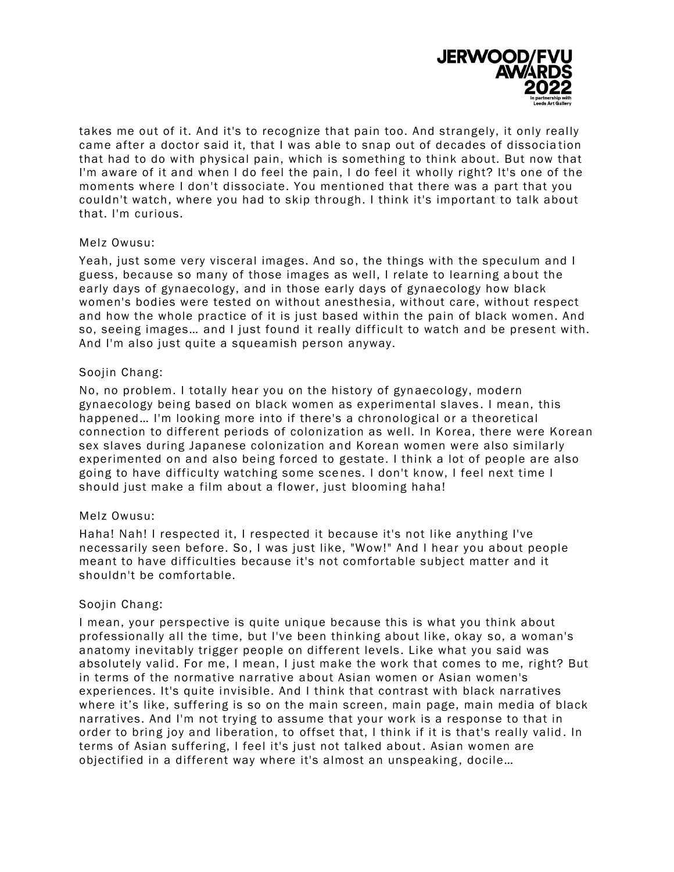

takes me out of it. And it's to recognize that pain too. And strangely, it only really came after a doctor said it, that I was able to snap out of decades of dissocia tion that had to do with physical pain, which is something to think about. But now that I'm aware of it and when I do feel the pain, I do feel it wholly right? It's one of the moments where I don't dissociate. You mentioned that there was a part that you couldn't watch, where you had to skip through. I think it's important to talk about that. I'm curious.

## Melz Owusu:

Yeah, just some very visceral images. And so, the things with the speculum and I guess, because so many of those images as well, I relate to learning a bout the early days of gynaecology, and in those early days of gynaecology how black women's bodies were tested on without anesthesia, without care, without respect and how the whole practice of it is just based within the pain of black women. And so, seeing images… and I just found it really difficult to watch and be present with. And I'm also just quite a squeamish person anyway.

# Soojin Chang:

No, no problem. I totally hear you on the history of gyn aecology, modern gynaecology being based on black women as experimental slaves . I mean, this happened… I'm looking more into if there's a chronological or a theoretical connection to different periods of colonization as well. In Korea, there were Korean sex slaves during Japanese colonization and Korean women were also similarly experimented on and also being forced to gestate. I think a lot of people are also going to have difficulty watching some scenes. I don't know, I feel next time I should just make a film about a flower, just blooming haha!

## Melz Owusu:

Haha! Nah! I respected it, I respected it because it's not like anything I've necessarily seen before. So, I was just like, "Wow!" And I hear you about people meant to have difficulties because it's not comfortable subject matter and it shouldn't be comfortable.

## Soojin Chang:

I mean, your perspective is quite unique because this is what you think about professionally all the time, but I've been thinking about like, okay so, a woman's anatomy inevitably trigger people on different levels. Like what you said was absolutely valid. For me, I mean, I just make the work that comes to me, right? But in terms of the normative narrative about Asian women or Asian women's experiences. It's quite invisible. And I think that contrast with black narratives where it's like, suffering is so on the main screen, main page, main media of black narratives. And I'm not trying to assume that your work is a response to that in order to bring joy and liberation, to offset that, I think if it is that's really valid . In terms of Asian suffering, I feel it's just not talked about. Asian women are objectified in a different way where it's almost an unspeaking, docile...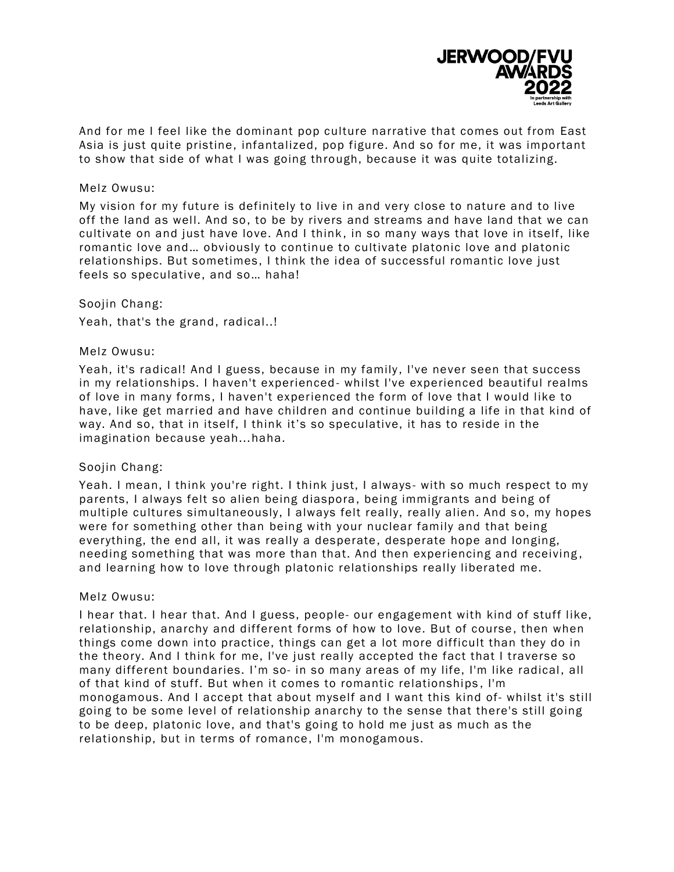

And for me I feel like the dominant pop culture narrative that comes out from East Asia is just quite pristine, infantalized, pop figure. And so for me, it was important to show that side of what I was going through, because it was quite totalizing.

### Melz Owusu:

My vision for my future is definitely to live in and very close to nature and to live off the land as well. And so, to be by rivers and streams and have land that we can cultivate on and just have love. And I think , in so many ways that love in itself, like romantic love and… obviously to continue to cultivate platonic love and platonic relationships. But sometimes, I think the idea of successful romantic love just feels so speculative, and so… haha!

Soojin Chang:

Yeah, that's the grand, radical..!

### Melz Owusu:

Yeah, it's radical! And I guess, because in my family, I've never seen that success in my relationships. I haven't experienced - whilst I've experienced beautiful realms of love in many forms , I haven't experienced the form of love that I would like to have, like get married and have children and continue building a life in that kind of way. And so, that in itself, I think it's so speculative, it has to reside in the imagination because yeah...haha.

## Soojin Chang:

Yeah. I mean, I think you're right. I think just, I always- with so much respect to my parents, I always felt so alien being diaspora , being immigrants and being of multiple cultures simultaneously, I always felt really, really alien. And so, my hopes were for something other than being with your nuclear family and that being everything, the end all, it was really a desperate, desperate hope and longing, needing something that was more than that. And then experiencing and receiving , and learning how to love through platonic relationships really liberated me.

#### Melz Owusu:

I hear that. I hear that. And I guess, people- our engagement with kind of stuff like, relationship, anarchy and different forms of how to love. But of course, then when things come down into practice, things can get a lot more difficult than they do in the theory. And I think for me, I've just really accepted the fact that I traverse so many different boundaries. I'm so- in so many areas of my life, I'm like radical, all of that kind of stuff. But when it comes to romantic relationships , I'm monogamous. And I accept that about myself and I want this kind of- whilst it's still going to be some level of relationship anarchy to the sense that there's still going to be deep, platonic love, and that's going to hold me just as much as the relationship, but in terms of romance, I'm monogamous.